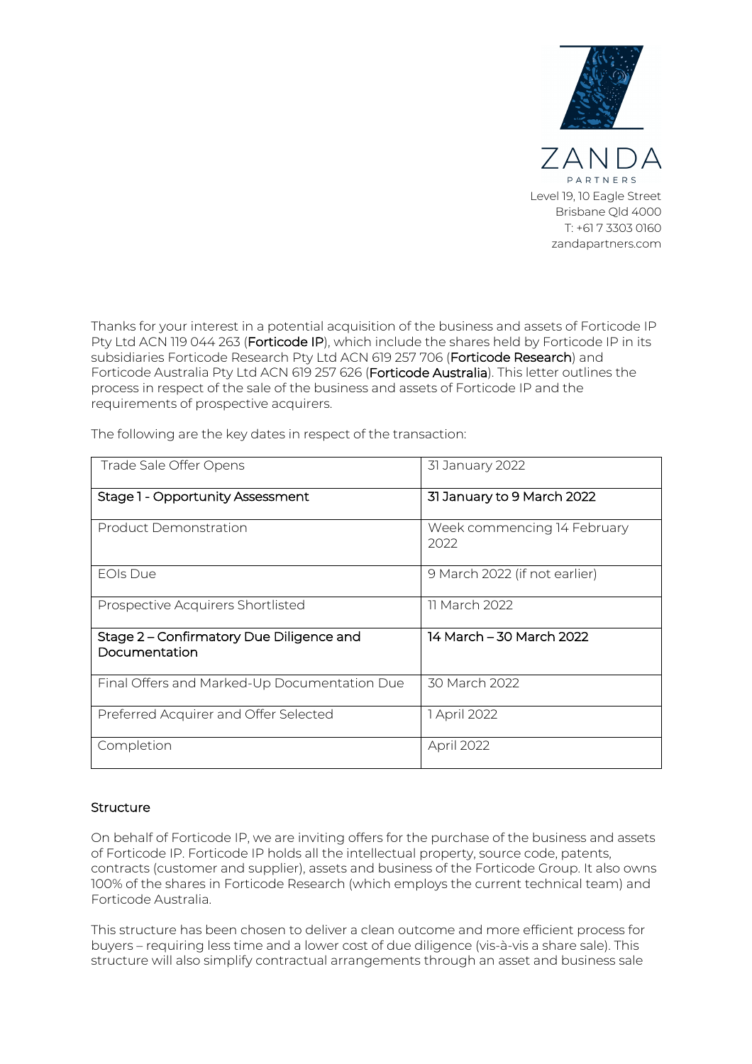

Thanks for your interest in a potential acquisition of the business and assets of Forticode IP Pty Ltd ACN 119 044 263 (Forticode IP), which include the shares held by Forticode IP in its subsidiaries Forticode Research Pty Ltd ACN 619 257 706 (Forticode Research) and Forticode Australia Pty Ltd ACN 619 257 626 (Forticode Australia). This letter outlines the process in respect of the sale of the business and assets of Forticode IP and the requirements of prospective acquirers.

| Trade Sale Offer Opens                                    | 31 January 2022                     |
|-----------------------------------------------------------|-------------------------------------|
| Stage 1 - Opportunity Assessment                          | 31 January to 9 March 2022          |
| Product Demonstration                                     | Week commencing 14 February<br>2022 |
| <b>EOIs Due</b>                                           | 9 March 2022 (if not earlier)       |
| Prospective Acquirers Shortlisted                         | 11 March 2022                       |
| Stage 2 – Confirmatory Due Diligence and<br>Documentation | 14 March – 30 March 2022            |
| Final Offers and Marked-Up Documentation Due              | 30 March 2022                       |
| Preferred Acquirer and Offer Selected                     | 1 April 2022                        |
| Completion                                                | April 2022                          |

The following are the key dates in respect of the transaction:

# **Structure**

On behalf of Forticode IP, we are inviting offers for the purchase of the business and assets of Forticode IP. Forticode IP holds all the intellectual property, source code, patents, contracts (customer and supplier), assets and business of the Forticode Group. It also owns 100% of the shares in Forticode Research (which employs the current technical team) and Forticode Australia.

This structure has been chosen to deliver a clean outcome and more efficient process for buyers – requiring less time and a lower cost of due diligence (vis-à-vis a share sale). This structure will also simplify contractual arrangements through an asset and business sale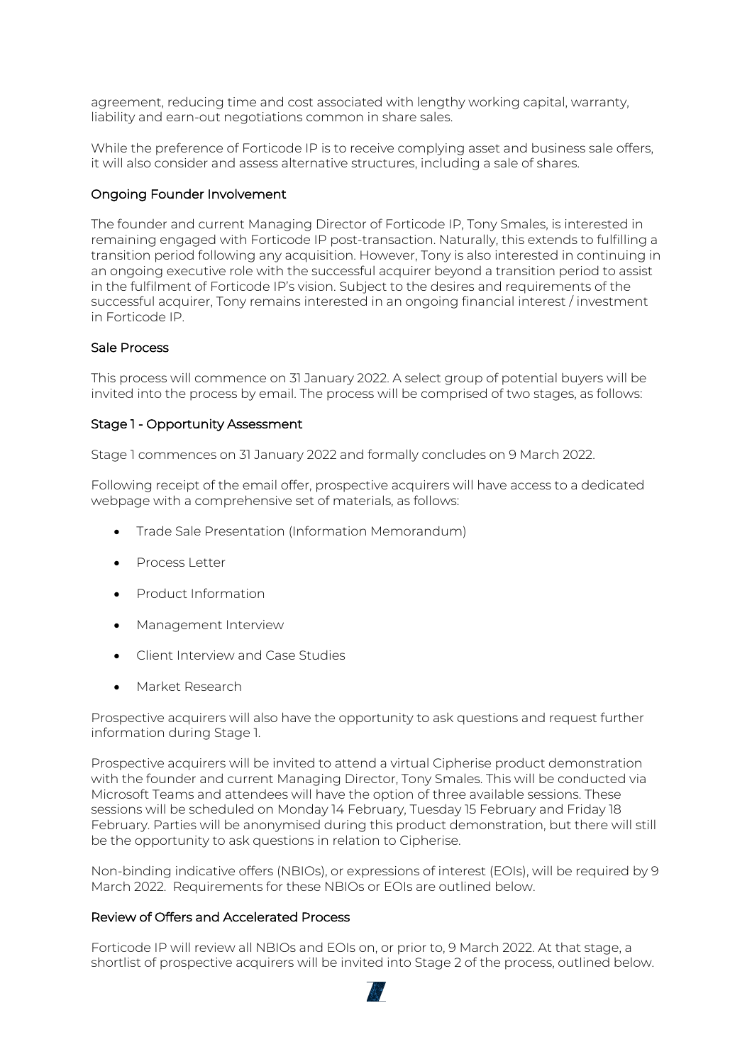agreement, reducing time and cost associated with lengthy working capital, warranty, liability and earn-out negotiations common in share sales.

While the preference of Forticode IP is to receive complying asset and business sale offers, it will also consider and assess alternative structures, including a sale of shares.

# Ongoing Founder Involvement

The founder and current Managing Director of Forticode IP, Tony Smales, is interested in remaining engaged with Forticode IP post-transaction. Naturally, this extends to fulfilling a transition period following any acquisition. However, Tony is also interested in continuing in an ongoing executive role with the successful acquirer beyond a transition period to assist in the fulfilment of Forticode IP's vision. Subject to the desires and requirements of the successful acquirer, Tony remains interested in an ongoing financial interest / investment in Forticode IP.

# Sale Process

This process will commence on 31 January 2022. A select group of potential buyers will be invited into the process by email. The process will be comprised of two stages, as follows:

# Stage 1 - Opportunity Assessment

Stage 1 commences on 31 January 2022 and formally concludes on 9 March 2022.

Following receipt of the email offer, prospective acquirers will have access to a dedicated webpage with a comprehensive set of materials, as follows:

- Trade Sale Presentation (Information Memorandum)
- Process Letter
- Product Information
- Management Interview
- Client Interview and Case Studies
- Market Research

Prospective acquirers will also have the opportunity to ask questions and request further information during Stage 1.

Prospective acquirers will be invited to attend a virtual Cipherise product demonstration with the founder and current Managing Director, Tony Smales. This will be conducted via Microsoft Teams and attendees will have the option of three available sessions. These sessions will be scheduled on Monday 14 February, Tuesday 15 February and Friday 18 February. Parties will be anonymised during this product demonstration, but there will still be the opportunity to ask questions in relation to Cipherise.

Non-binding indicative offers (NBIOs), or expressions of interest (EOIs), will be required by 9 March 2022. Requirements for these NBIOs or EOIs are outlined below.

## Review of Offers and Accelerated Process

Forticode IP will review all NBIOs and EOIs on, or prior to, 9 March 2022. At that stage, a shortlist of prospective acquirers will be invited into Stage 2 of the process, outlined below.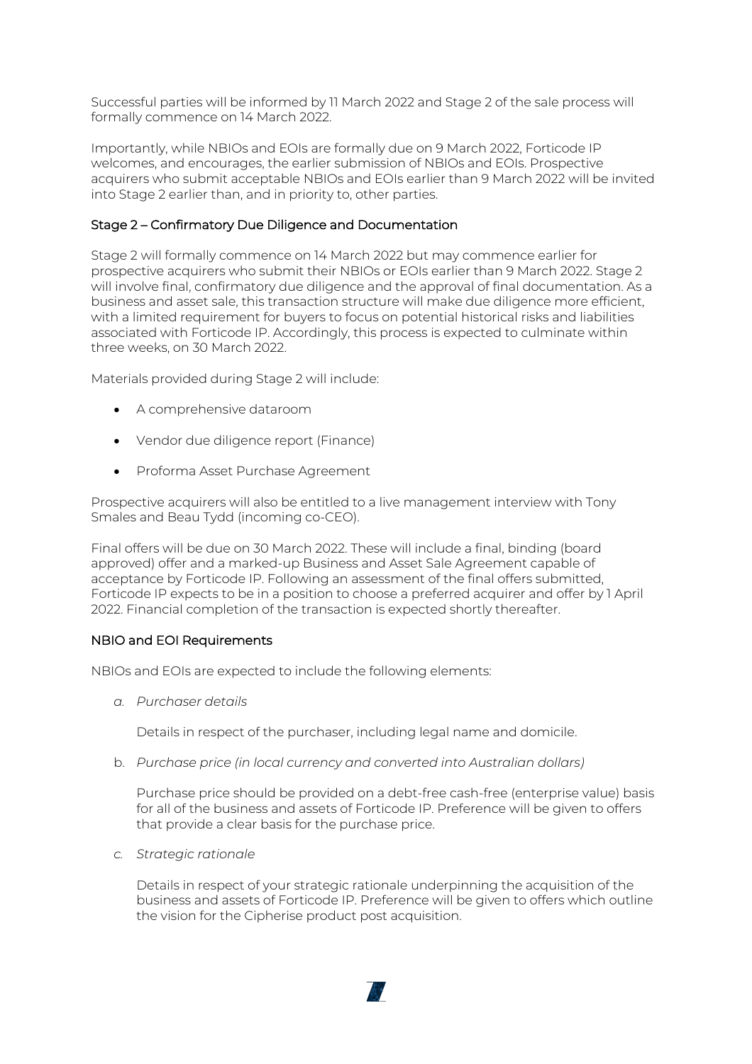Successful parties will be informed by 11 March 2022 and Stage 2 of the sale process will formally commence on 14 March 2022.

Importantly, while NBIOs and EOIs are formally due on 9 March 2022, Forticode IP welcomes, and encourages, the earlier submission of NBIOs and EOIs. Prospective acquirers who submit acceptable NBIOs and EOIs earlier than 9 March 2022 will be invited into Stage 2 earlier than, and in priority to, other parties.

# Stage 2 – Confirmatory Due Diligence and Documentation

Stage 2 will formally commence on 14 March 2022 but may commence earlier for prospective acquirers who submit their NBIOs or EOIs earlier than 9 March 2022. Stage 2 will involve final, confirmatory due diligence and the approval of final documentation. As a business and asset sale, this transaction structure will make due diligence more efficient, with a limited requirement for buyers to focus on potential historical risks and liabilities associated with Forticode IP. Accordingly, this process is expected to culminate within three weeks, on 30 March 2022.

Materials provided during Stage 2 will include:

- A comprehensive dataroom
- Vendor due diligence report (Finance)
- Proforma Asset Purchase Agreement

Prospective acquirers will also be entitled to a live management interview with Tony Smales and Beau Tydd (incoming co-CEO).

Final offers will be due on 30 March 2022. These will include a final, binding (board approved) offer and a marked-up Business and Asset Sale Agreement capable of acceptance by Forticode IP. Following an assessment of the final offers submitted, Forticode IP expects to be in a position to choose a preferred acquirer and offer by 1 April 2022. Financial completion of the transaction is expected shortly thereafter.

#### NBIO and EOI Requirements

NBIOs and EOIs are expected to include the following elements:

*a. Purchaser details*

Details in respect of the purchaser, including legal name and domicile.

b. *Purchase price (in local currency and converted into Australian dollars)*

Purchase price should be provided on a debt-free cash-free (enterprise value) basis for all of the business and assets of Forticode IP. Preference will be given to offers that provide a clear basis for the purchase price.

*c. Strategic rationale*

Details in respect of your strategic rationale underpinning the acquisition of the business and assets of Forticode IP. Preference will be given to offers which outline the vision for the Cipherise product post acquisition.